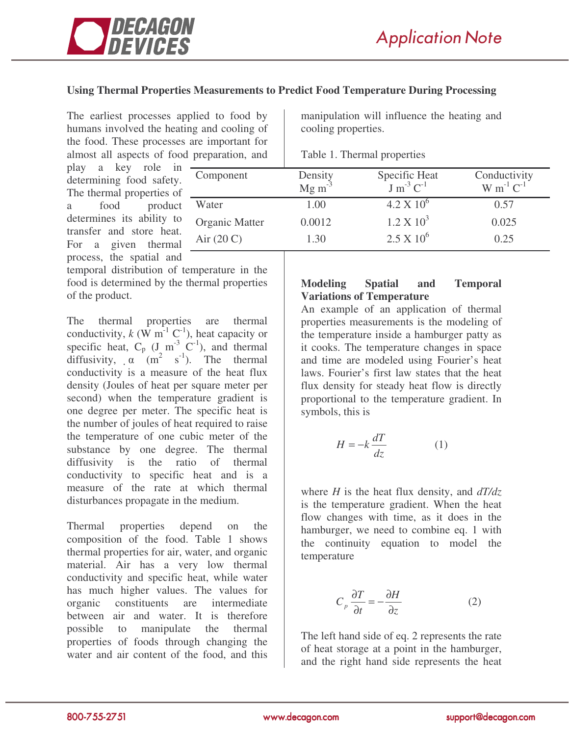

## **Using Thermal Properties Measurements to Predict Food Temperature During Processing**

The earliest processes applied to food by humans involved the heating and cooling of the food. These processes are important for almost all aspects of food preparation, and manipulation will influence the heating and cooling properties.

|  |  |  | Table 1. Thermal properties |
|--|--|--|-----------------------------|
|--|--|--|-----------------------------|

| play a key role in -      |  |
|---------------------------|--|
| determining food safety.  |  |
| The thermal properties of |  |
| a food product            |  |
| determines its ability to |  |
| transfer and store heat.  |  |
| For a given thermal       |  |
| process, the spatial and  |  |

temporal distribution of temperature in the food is determined by the thermal properties of the product.

The thermal properties are thermal conductivity,  $k$  (W m<sup>-1</sup> C<sup>-1</sup>), heat capacity or specific heat,  $C_p$  (J m<sup>-3</sup> C<sup>-1</sup>), and thermal diffusivity,  $\alpha$  (m<sup>2</sup> s<sup>-1</sup>). The thermal conductivity is a measure of the heat flux density (Joules of heat per square meter per second) when the temperature gradient is one degree per meter. The specific heat is the number of joules of heat required to raise the temperature of one cubic meter of the substance by one degree. The thermal diffusivity is the ratio of thermal conductivity to specific heat and is a measure of the rate at which thermal disturbances propagate in the medium.

Thermal properties depend on the composition of the food. Table 1 shows thermal properties for air, water, and organic material. Air has a very low thermal conductivity and specific heat, while water has much higher values. The values for organic constituents are intermediate between air and water. It is therefore possible to manipulate the thermal properties of foods through changing the water and air content of the food, and this

| Component             | Density<br>Mg m <sup>-3</sup> | Specific Heat<br>$J m^{-3} C^{-1}$ | Conductivity<br>$W m^{-1} C^{-1}$ |
|-----------------------|-------------------------------|------------------------------------|-----------------------------------|
| Water                 | 1.00                          | $4.2 \times 10^{6}$                | 0.57                              |
| <b>Organic Matter</b> | 0.0012                        | $1.2 \times 10^3$                  | 0.025                             |
| Air $(20 C)$          | 1.30                          | $2.5 \times 10^6$                  | 0.25                              |
|                       |                               |                                    |                                   |

### **Modeling Spatial and Temporal Variations of Temperature**

An example of an application of thermal properties measurements is the modeling of the temperature inside a hamburger patty as it cooks. The temperature changes in space and time are modeled using Fourier's heat laws. Fourier's first law states that the heat flux density for steady heat flow is directly proportional to the temperature gradient. In symbols, this is

$$
H = -k \frac{dT}{dz} \tag{1}
$$

where *H* is the heat flux density, and *dT/dz* is the temperature gradient. When the heat flow changes with time, as it does in the hamburger, we need to combine eq. 1 with the continuity equation to model the temperature

$$
C_p \frac{\partial T}{\partial t} = -\frac{\partial H}{\partial z} \tag{2}
$$

The left hand side of eq. 2 represents the rate of heat storage at a point in the hamburger, and the right hand side represents the heat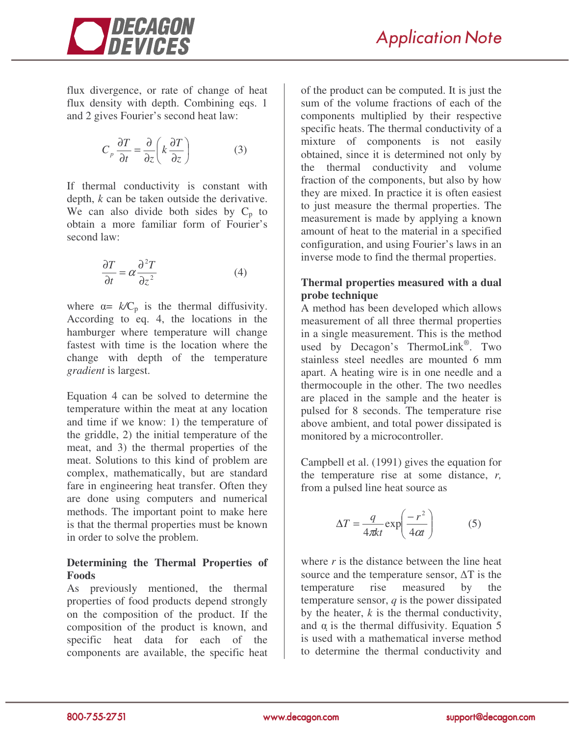

flux divergence, or rate of change of heat flux density with depth. Combining eqs. 1 and 2 gives Fourier's second heat law:

$$
C_p \frac{\partial T}{\partial t} = \frac{\partial}{\partial z} \left( k \frac{\partial T}{\partial z} \right) \tag{3}
$$

If thermal conductivity is constant with depth, *k* can be taken outside the derivative. We can also divide both sides by  $C_p$  to obtain a more familiar form of Fourier's second law:

$$
\frac{\partial T}{\partial t} = \alpha \frac{\partial^2 T}{\partial z^2}
$$
 (4)

where  $\alpha = k/C_p$  is the thermal diffusivity. According to eq. 4, the locations in the hamburger where temperature will change fastest with time is the location where the change with depth of the temperature *gradient* is largest.

Equation 4 can be solved to determine the temperature within the meat at any location and time if we know: 1) the temperature of the griddle, 2) the initial temperature of the meat, and 3) the thermal properties of the meat. Solutions to this kind of problem are complex, mathematically, but are standard fare in engineering heat transfer. Often they are done using computers and numerical methods. The important point to make here is that the thermal properties must be known in order to solve the problem.

## **Determining the Thermal Properties of Foods**

As previously mentioned, the thermal properties of food products depend strongly on the composition of the product. If the composition of the product is known, and specific heat data for each of the components are available, the specific heat

of the product can be computed. It is just the sum of the volume fractions of each of the components multiplied by their respective specific heats. The thermal conductivity of a mixture of components is not easily obtained, since it is determined not only by the thermal conductivity and volume fraction of the components, but also by how they are mixed. In practice it is often easiest to just measure the thermal properties. The measurement is made by applying a known amount of heat to the material in a specified configuration, and using Fourier's laws in an inverse mode to find the thermal properties.

# **Thermal properties measured with a dual probe technique**

A method has been developed which allows measurement of all three thermal properties in a single measurement. This is the method used by Decagon's ThermoLink®. Two stainless steel needles are mounted 6 mm apart. A heating wire is in one needle and a thermocouple in the other. The two needles are placed in the sample and the heater is pulsed for 8 seconds. The temperature rise above ambient, and total power dissipated is monitored by a microcontroller.

Campbell et al. (1991) gives the equation for the temperature rise at some distance, *r,* from a pulsed line heat source as

$$
\Delta T = \frac{q}{4\pi kt} \exp\left(\frac{-r^2}{4\alpha t}\right) \tag{5}
$$

where *r* is the distance between the line heat source and the temperature sensor,  $\Delta T$  is the temperature rise measured by the temperature sensor, *q* is the power dissipated by the heater, *k* is the thermal conductivity, and  $\alpha$  is the thermal diffusivity. Equation 5 is used with a mathematical inverse method to determine the thermal conductivity and